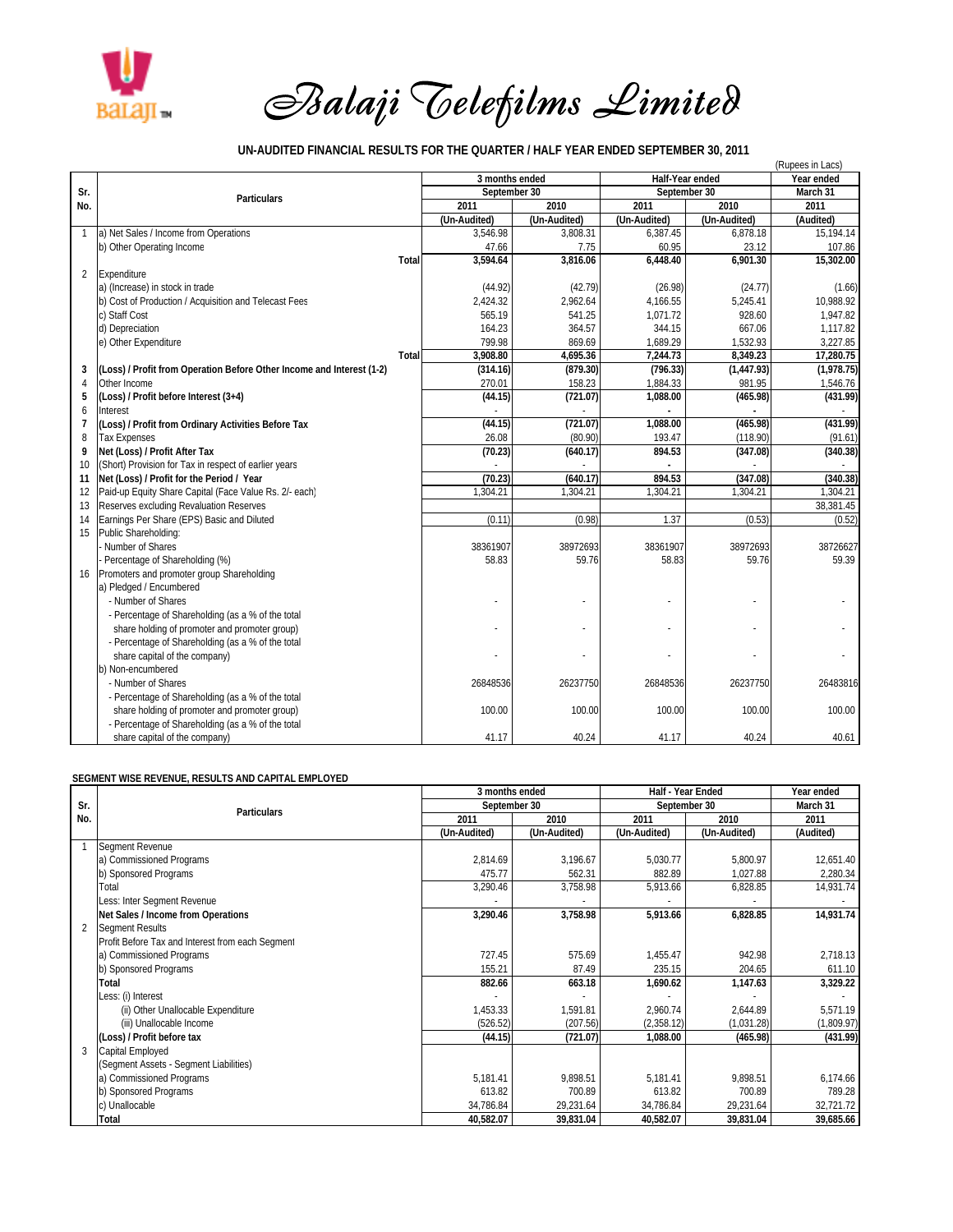

## *Balaji Telefilms Limited*

## **UN-AUDITED FINANCIAL RESULTS FOR THE QUARTER / HALF YEAR ENDED SEPTEMBER 30, 2011**

|                | (Rupees in Lacs)                                                      |       |                |              |                 |              |            |  |  |  |  |
|----------------|-----------------------------------------------------------------------|-------|----------------|--------------|-----------------|--------------|------------|--|--|--|--|
|                |                                                                       |       | 3 months ended |              | Half-Year ended | Year ended   |            |  |  |  |  |
| Sr.            | <b>Particulars</b>                                                    |       | September 30   |              | September 30    | March 31     |            |  |  |  |  |
| No.            |                                                                       |       | 2011           | 2010         | 2011            | 2010         | 2011       |  |  |  |  |
|                |                                                                       |       | (Un-Audited)   | (Un-Audited) | (Un-Audited)    | (Un-Audited) | (Audited)  |  |  |  |  |
| $\mathbf{1}$   | a) Net Sales / Income from Operations                                 |       | 3.546.98       | 3.808.31     | 6.387.45        | 6.878.18     | 15.194.14  |  |  |  |  |
|                | b) Other Operating Income                                             |       | 47.66          | 7.75         | 60.95           | 23.12        | 107.86     |  |  |  |  |
|                |                                                                       | Total | 3.594.64       | 3.816.06     | 6.448.40        | 6.901.30     | 15,302.00  |  |  |  |  |
| $\overline{2}$ | Expenditure                                                           |       |                |              |                 |              |            |  |  |  |  |
|                | a) (Increase) in stock in trade                                       |       | (44.92)        | (42.79)      | (26.98)         | (24.77)      | (1.66)     |  |  |  |  |
|                | b) Cost of Production / Acquisition and Telecast Fees                 |       | 2,424.32       | 2,962.64     | 4,166.55        | 5,245.41     | 10,988.92  |  |  |  |  |
|                | c) Staff Cost                                                         |       | 565.19         | 541.25       | 1,071.72        | 928.60       | 1.947.82   |  |  |  |  |
|                | d) Depreciation                                                       |       | 164.23         | 364.57       | 344.15          | 667.06       | 1,117.82   |  |  |  |  |
|                | e) Other Expenditure                                                  |       | 799.98         | 869.69       | 1.689.29        | 1,532.93     | 3.227.85   |  |  |  |  |
|                |                                                                       | Total | 3,908.80       | 4,695.36     | 7,244.73        | 8,349.23     | 17,280.75  |  |  |  |  |
| 3              | (Loss) / Profit from Operation Before Other Income and Interest (1-2) |       | (314.16)       | (879.30)     | (796.33)        | (1,447.93)   | (1,978.75) |  |  |  |  |
| 4              | Other Income                                                          |       | 270.01         | 158.23       | 1,884.33        | 981.95       | 1,546.76   |  |  |  |  |
| 5              | (Loss) / Profit before Interest (3+4)                                 |       | (44.15)        | (721.07)     | 1.088.00        | (465.98)     | (431.99)   |  |  |  |  |
| 6              | Interest                                                              |       |                |              |                 |              |            |  |  |  |  |
| $\overline{7}$ | (Loss) / Profit from Ordinary Activities Before Tax                   |       | (44.15)        | (721.07)     | 1,088.00        | (465.98)     | (431.99)   |  |  |  |  |
| 8              | <b>Tax Expenses</b>                                                   |       | 26.08          | (80.90)      | 193.47          | (118.90)     | (91.61)    |  |  |  |  |
| 9              | Net (Loss) / Profit After Tax                                         |       | (70.23)        | (640.17)     | 894.53          | (347.08)     | (340.38)   |  |  |  |  |
| 10             | (Short) Provision for Tax in respect of earlier years                 |       |                |              |                 |              |            |  |  |  |  |
| 11             | Net (Loss) / Profit for the Period / Year                             |       | (70.23)        | (640.17)     | 894.53          | (347.08)     | (340.38)   |  |  |  |  |
| 12             | Paid-up Equity Share Capital (Face Value Rs. 2/- each)                |       | 1.304.21       | 1.304.21     | 1.304.21        | 1,304.21     | 1.304.21   |  |  |  |  |
| 13             | Reserves excluding Revaluation Reserves                               |       |                |              |                 |              | 38,381.45  |  |  |  |  |
| 14             | Earnings Per Share (EPS) Basic and Diluted                            |       | (0.11)         | (0.98)       | 1.37            | (0.53)       | (0.52)     |  |  |  |  |
| 15             | Public Shareholding:                                                  |       |                |              |                 |              |            |  |  |  |  |
|                | Number of Shares                                                      |       | 38361907       | 38972693     | 38361907        | 38972693     | 38726627   |  |  |  |  |
|                | Percentage of Shareholding (%)                                        |       | 58.83          | 59.76        | 58.83           | 59.76        | 59.39      |  |  |  |  |
| 16             | Promoters and promoter group Shareholding                             |       |                |              |                 |              |            |  |  |  |  |
|                | a) Pledged / Encumbered                                               |       |                |              |                 |              |            |  |  |  |  |
|                | - Number of Shares                                                    |       |                |              |                 |              |            |  |  |  |  |
|                | - Percentage of Shareholding (as a % of the total                     |       |                |              |                 |              |            |  |  |  |  |
|                | share holding of promoter and promoter group)                         |       |                |              |                 |              |            |  |  |  |  |
|                | - Percentage of Shareholding (as a % of the total                     |       |                |              |                 |              |            |  |  |  |  |
|                | share capital of the company)                                         |       |                |              |                 |              |            |  |  |  |  |
|                | b) Non-encumbered                                                     |       |                |              |                 |              |            |  |  |  |  |
|                | - Number of Shares                                                    |       | 26848536       | 26237750     | 26848536        | 26237750     | 26483816   |  |  |  |  |
|                | - Percentage of Shareholding (as a % of the total                     |       |                |              |                 |              |            |  |  |  |  |
|                | share holding of promoter and promoter group)                         |       | 100.00         | 100.00       | 100.00          | 100.00       | 100.00     |  |  |  |  |
|                | - Percentage of Shareholding (as a % of the total                     |       |                |              |                 |              |            |  |  |  |  |
|                | share capital of the company)                                         |       | 41.17          | 40.24        | 41.17           | 40.24        | 40.61      |  |  |  |  |

## **SEGMENT WISE REVENUE, RESULTS AND CAPITAL EMPLOYED**

|                |                                                  | 3 months ended |              | Half - Year Ended            | Year ended |            |  |
|----------------|--------------------------------------------------|----------------|--------------|------------------------------|------------|------------|--|
| Sr.            | <b>Particulars</b>                               | September 30   |              | September 30                 | March 31   |            |  |
| No.            |                                                  | 2010<br>2011   |              | 2011                         | 2011       |            |  |
|                |                                                  | (Un-Audited)   | (Un-Audited) | (Un-Audited)<br>(Un-Audited) |            | (Audited)  |  |
|                | Segment Revenue                                  |                |              |                              |            |            |  |
|                | a) Commissioned Programs                         | 2,814.69       | 3,196.67     | 5,030.77                     | 5,800.97   | 12,651.40  |  |
|                | b) Sponsored Programs                            | 475.77         | 562.31       | 882.89                       | 1,027.88   | 2,280.34   |  |
|                | Total                                            | 3,290.46       | 3,758.98     | 5,913.66                     | 6,828.85   | 14,931.74  |  |
|                | Less: Inter Segment Revenue                      |                |              |                              |            |            |  |
|                | Net Sales / Income from Operations               | 3,290.46       | 3,758.98     | 5,913.66                     | 6,828.85   | 14,931.74  |  |
| $\overline{2}$ | <b>Segment Results</b>                           |                |              |                              |            |            |  |
|                | Profit Before Tax and Interest from each Segment |                |              |                              |            |            |  |
|                | a) Commissioned Programs                         | 727.45         | 575.69       | 1.455.47                     | 942.98     | 2,718.13   |  |
|                | b) Sponsored Programs                            | 155.21         | 87.49        | 235.15                       | 204.65     | 611.10     |  |
|                | Total                                            | 882.66         | 663.18       | 1,690.62                     | 1,147.63   | 3,329.22   |  |
|                | Less: (i) Interest                               |                |              |                              |            |            |  |
|                | (ii) Other Unallocable Expenditure               | 1,453.33       | 1,591.81     | 2,960.74                     | 2,644.89   | 5,571.19   |  |
|                | (iii) Unallocable Income                         | (526.52)       | (207.56)     | (2,358.12)                   | (1,031.28) | (1,809.97) |  |
|                | (Loss) / Profit before tax                       | (44.15)        | (721.07)     | 1,088.00                     | (465.98)   | (431.99)   |  |
| 3              | Capital Employed                                 |                |              |                              |            |            |  |
|                | (Segment Assets - Segment Liabilities)           |                |              |                              |            |            |  |
|                | a) Commissioned Programs                         | 5,181.41       | 9,898.51     | 5,181.41                     | 9,898.51   | 6,174.66   |  |
|                | b) Sponsored Programs                            | 613.82         | 700.89       | 613.82                       | 700.89     | 789.28     |  |
|                | c) Unallocable                                   | 34,786.84      | 29,231.64    | 34,786.84                    | 29,231.64  | 32,721.72  |  |
|                | Total                                            | 40,582.07      | 39,831.04    | 40,582.07                    | 39,831.04  | 39,685.66  |  |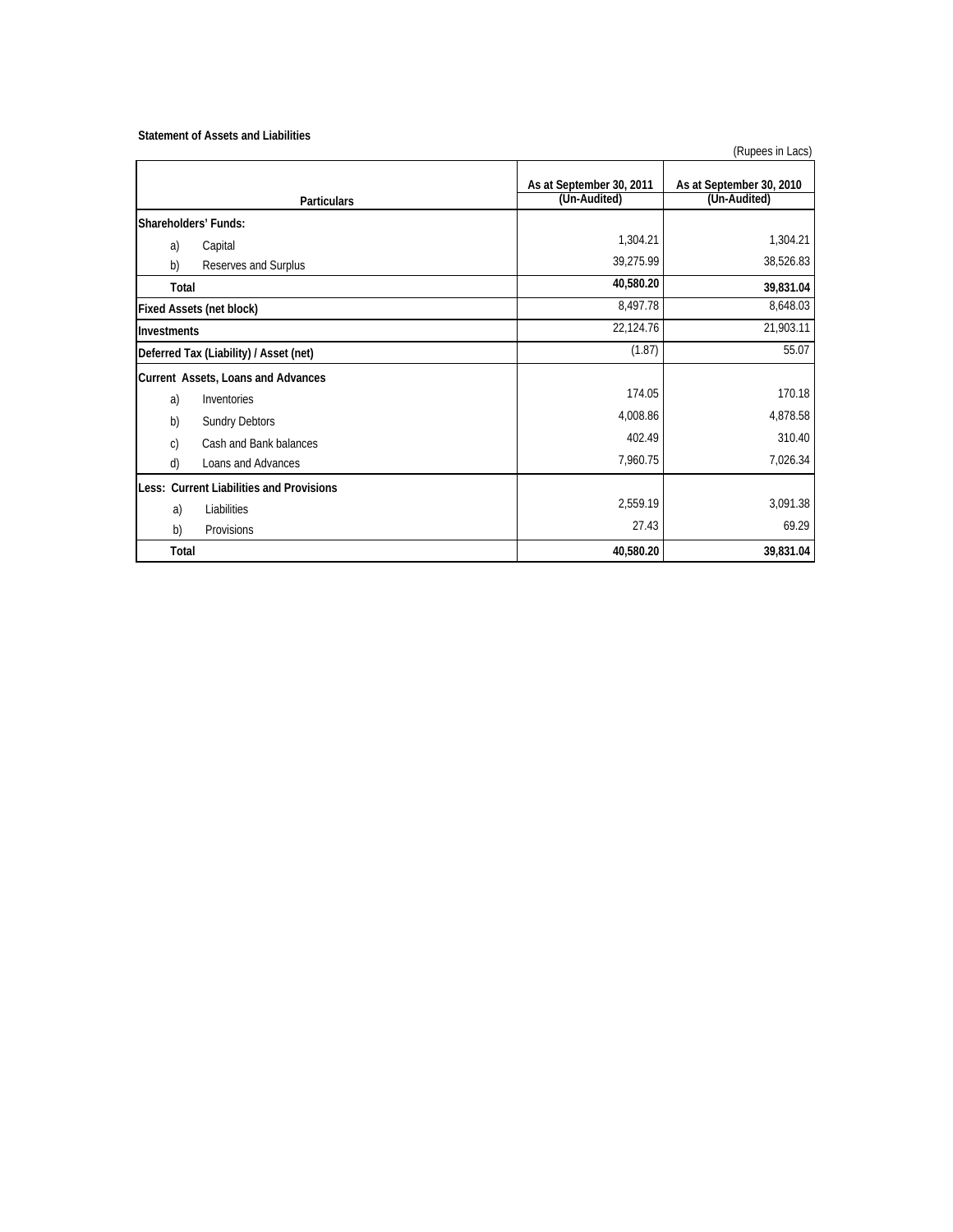## **Statement of Assets and Liabilities**

|                                          | As at September 30, 2011 | As at September 30, 2010 |  |  |
|------------------------------------------|--------------------------|--------------------------|--|--|
| <b>Particulars</b>                       | (Un-Audited)             | (Un-Audited)             |  |  |
| Shareholders' Funds:                     |                          |                          |  |  |
| Capital<br>a)                            | 1,304.21                 | 1,304.21                 |  |  |
| b)<br>Reserves and Surplus               | 39,275.99                | 38,526.83                |  |  |
| Total                                    | 40,580.20                | 39,831.04                |  |  |
| <b>Fixed Assets (net block)</b>          | 8,497.78                 | 8,648.03                 |  |  |
| Investments                              | 22,124.76                | 21,903.11                |  |  |
| Deferred Tax (Liability) / Asset (net)   | (1.87)                   | 55.07                    |  |  |
| Current Assets, Loans and Advances       |                          |                          |  |  |
| a)<br>Inventories                        | 174.05                   | 170.18                   |  |  |
| b)<br><b>Sundry Debtors</b>              | 4,008.86                 | 4,878.58                 |  |  |
| Cash and Bank balances<br>C)             | 402.49                   | 310.40                   |  |  |
| d)<br>Loans and Advances                 | 7,960.75                 | 7,026.34                 |  |  |
| Less: Current Liabilities and Provisions |                          |                          |  |  |
| a)<br>Liabilities                        | 2,559.19                 | 3,091.38                 |  |  |
| b)<br>Provisions                         | 27.43                    | 69.29                    |  |  |
| Total                                    | 40,580.20                | 39,831.04                |  |  |

(Rupees in Lacs)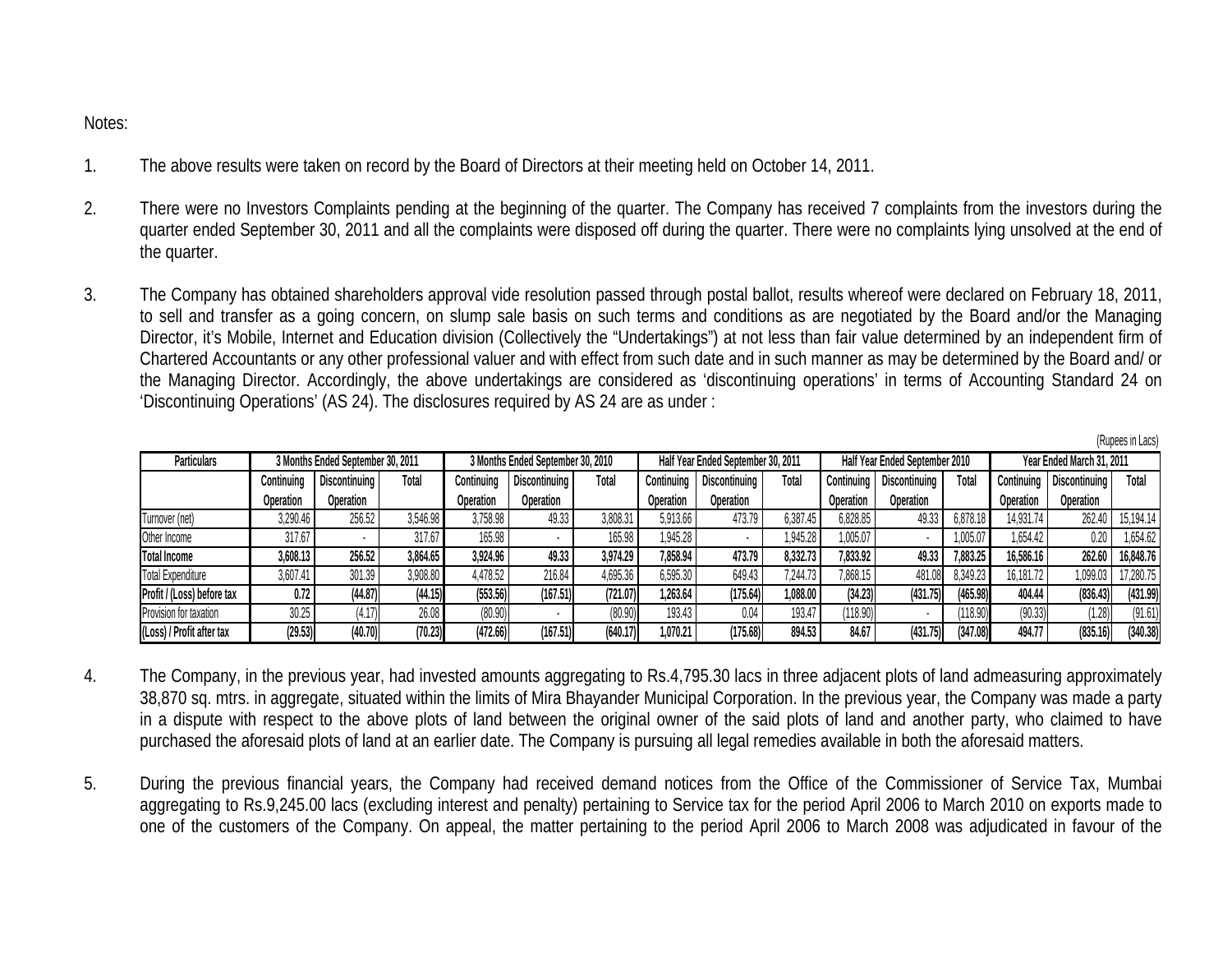Notes:

- 1.The above results were taken on record by the Board of Directors at their meeting held on October 14, 2011.
- 2. There were no Investors Complaints pending at the beginning of the quarter. The Company has received 7 complaints from the investors during the quarter ended September 30, 2011 and all the complaints were disposed off during the quarter. There were no complaints lying unsolved at the end of the quarter.
- 3. The Company has obtained shareholders approval vide resolution passed through postal ballot, results whereof were declared on February 18, 2011, to sell and transfer as a going concern, on slump sale basis on such terms and conditions as are negotiated by the Board and/or the Managing Director, it's Mobile, Internet and Education division (Collectively the "Undertakings") at not less than fair value determined by an independent firm of Chartered Accountants or any other professional valuer and with effect from such date and in such manner as may be determined by the Board and/ or the Managing Director. Accordingly, the above undertakings are considered as 'discontinuing operations' in terms of Accounting Standard 24 on 'Discontinuing Operations' (AS 24). The disclosures required by AS 24 are as under :

| . <i>.</i>                 |                                   |               |          |                                   |               |          |                                    |               |          |                                |               |          |                           |               |           |
|----------------------------|-----------------------------------|---------------|----------|-----------------------------------|---------------|----------|------------------------------------|---------------|----------|--------------------------------|---------------|----------|---------------------------|---------------|-----------|
| <b>Particulars</b>         | 3 Months Ended September 30, 2011 |               |          | 3 Months Ended September 30, 2010 |               |          | Half Year Ended September 30, 2011 |               |          | Half Year Ended September 2010 |               |          | Year Ended March 31, 2011 |               |           |
|                            | Continuing                        | Discontinuing | Total    | Continuing                        | Discontinuing | Total    | Continuing                         | Discontinuing | Total    | Continuing                     | Discontinuing | Total    | Continuing                | Discontinuing | Total     |
|                            | Operation                         | Operation     |          | Operation                         | Operation     |          | Operation                          | Operation     |          | Operation                      | Operation     |          | Operation                 | Operation     |           |
| Turnover (net)             | 3,290.46                          | 256.52        | 3.546.98 | 3.758.98                          | 49.33         | 3.808.31 | 5.913.66                           | 473.79        | 6,387.45 | 6,828.85                       | 49.33         | 6,878.18 | 14.931.74                 | 262.40        | 15,194.14 |
| Other Income               | 317.67                            |               | 317.67   | 165.98                            |               |          | .945.28                            |               | 1,945.28 | 1,005.07                       |               | 1,005.0  | .654.42                   | 0.20          | .654.62   |
| <b>Total Income</b>        | 3,608.13                          | 256.52        | 3,864.65 | 3,924.96                          | 49.33         | 3,974.29 | 7,858.94                           | 473.79        | 8,332.73 | 833.92                         | 49.33         | 7,883.25 | 16,586.16                 | 262.60        | 16,848.76 |
| <b>Total Expenditure</b>   | 3,607.4                           | 301.39        | 3,908.80 | 1,478.52                          | 216.84        | 1.695.36 | 6.595.30                           | 649.43        | 1.244.73 | 868.15                         | 481.08        | 8,349.23 | 16,181.72                 | 1.099.03      | 17,280.75 |
| Profit / (Loss) before tax | 0.72                              | (44.87)       | (44.15)  | (553.56)                          | (167.51)      | (721.07) | .263.64                            | (175.64)      | ,088.00  | (34.23)                        | (431.75)      | (465.98) | 404.44                    | (836.43)      | (431.99)  |
| Provision for taxation     | 30.25                             | 4.17          | 26.08    | (80.90)                           |               | (80.90)  | 193.43                             | 0.04          | 193.4    | '118.90                        |               |          | (90.33)                   | 1.28)         | (91.61)   |
| (Loss) / Profit after tax  | (29.53)                           | (40.70)       | (70.23)  | (472.66)                          | (167.51)      | (640.17) | .070.21                            | (175.68)      | 894.53   | 84.6                           | (431.75)      | (347.08) | 494.77                    | (835.16)      | (340.38)  |

(Rupees in Lacs)

- 4. The Company, in the previous year, had invested amounts aggregating to Rs.4,795.30 lacs in three adjacent plots of land admeasuring approximately 38,870 sq. mtrs. in aggregate, situated within the limits of Mira Bhayander Municipal Corporation. In the previous year, the Company was made a party in a dispute with respect to the above plots of land between the original owner of the said plots of land and another party, who claimed to have purchased the aforesaid plots of land at an earlier date. The Company is pursuing all legal remedies available in both the aforesaid matters.
- 5. During the previous financial years, the Company had received demand notices from the Office of the Commissioner of Service Tax, Mumbai aggregating to Rs.9,245.00 lacs (excluding interest and penalty) pertaining to Service tax for the period April 2006 to March 2010 on exports made to one of the customers of the Company. On appeal, the matter pertaining to the period April 2006 to March 2008 was adjudicated in favour of the